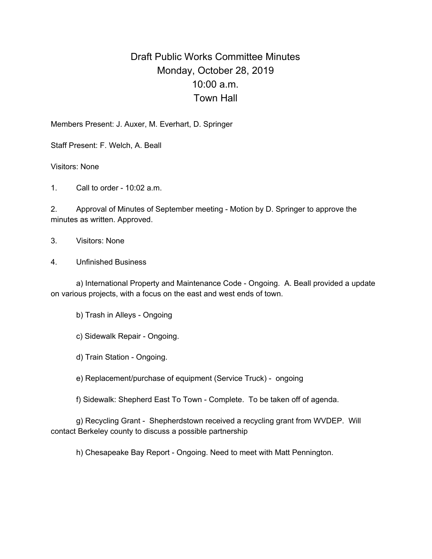## Draft Public Works Committee Minutes Monday, October 28, 2019 10:00 a.m. Town Hall

Members Present: J. Auxer, M. Everhart, D. Springer

Staff Present: F. Welch, A. Beall

Visitors: None

1. Call to order - 10:02 a.m.

2. Approval of Minutes of September meeting - Motion by D. Springer to approve the minutes as written. Approved.

3. Visitors: None

4. Unfinished Business

a) International Property and Maintenance Code - Ongoing. A. Beall provided a update on various projects, with a focus on the east and west ends of town.

b) Trash in Alleys - Ongoing

c) Sidewalk Repair - Ongoing.

d) Train Station - Ongoing.

e) Replacement/purchase of equipment (Service Truck) - ongoing

f) Sidewalk: Shepherd East To Town - Complete. To be taken off of agenda.

g) Recycling Grant - Shepherdstown received a recycling grant from WVDEP. Will contact Berkeley county to discuss a possible partnership

h) Chesapeake Bay Report - Ongoing. Need to meet with Matt Pennington.